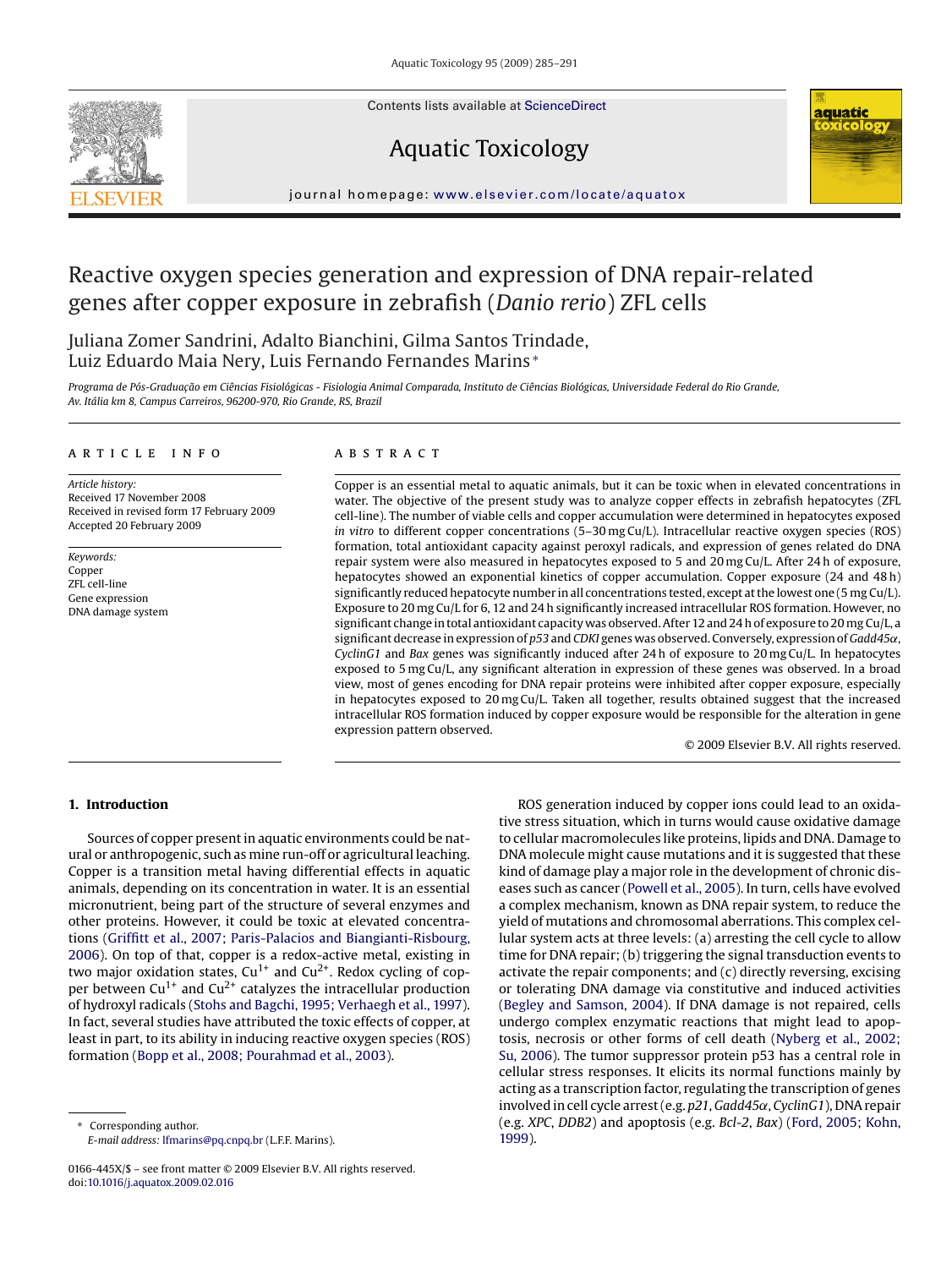Contents lists available at [ScienceDirect](http://www.sciencedirect.com/science/journal/0166445X)







journal homepage: [www.elsevier.com/locate/aquatox](http://www.elsevier.com/locate/aquatox)

# Reactive oxygen species generation and expression of DNA repair-related genes after copper exposure in zebrafish (*Danio rerio*) ZFL cells

Juliana Zomer Sandrini, Adalto Bianchini, Gilma Santos Trindade, Luiz Eduardo Maia Nery, Luis Fernando Fernandes Marins <sup>∗</sup>

Programa de Pós-Graduação em Ciências Fisiológicas - Fisiologia Animal Comparada, Instituto de Ciências Biológicas, Universidade Federal do Rio Grande, *Av. Itália km 8, Campus Carreiros, 96200-970, Rio Grande, RS, Brazil*

#### article info

*Article history:* Received 17 November 2008 Received in revised form 17 February 2009 Accepted 20 February 2009

*Keywords:* Copper ZFL cell-line Gene expression DNA damage system

#### ABSTRACT

Copper is an essential metal to aquatic animals, but it can be toxic when in elevated concentrations in water. The objective of the present study was to analyze copper effects in zebrafish hepatocytes (ZFL cell-line). The number of viable cells and copper accumulation were determined in hepatocytes exposed *in vitro* to different copper concentrations (5-30 mg Cu/L). Intracellular reactive oxygen species (ROS) formation, total antioxidant capacity against peroxyl radicals, and expression of genes related do DNA repair system were also measured in hepatocytes exposed to 5 and 20 mg Cu/L. After 24 h of exposure, hepatocytes showed an exponential kinetics of copper accumulation. Copper exposure (24 and 48 h) significantly reduced hepatocyte number in all concentrations tested, except at the lowest one (5 mg Cu/L). Exposure to 20 mg Cu/L for 6, 12 and 24 h significantly increased intracellular ROS formation. However, no significant change in total antioxidant capacity was observed. After 12 and 24 h of exposure to 20 mg Cu/L, a significant decrease in expression of *p53* and *CDKI* genes was observed. Conversely, expression of *Gadd45*α, *CyclinG1* and *Bax* genes was significantly induced after 24 h of exposure to 20 mg Cu/L. In hepatocytes exposed to 5 mg Cu/L, any significant alteration in expression of these genes was observed. In a broad view, most of genes encoding for DNA repair proteins were inhibited after copper exposure, especially in hepatocytes exposed to 20 mg Cu/L. Taken all together, results obtained suggest that the increased intracellular ROS formation induced by copper exposure would be responsible for the alteration in gene expression pattern observed.

© 2009 Elsevier B.V. All rights reserved.

# **1. Introduction**

Sources of copper present in aquatic environments could be natural or anthropogenic, such as mine run-off or agricultural leaching. Copper is a transition metal having differential effects in aquatic animals, depending on its concentration in water. It is an essential micronutrient, being part of the structure of several enzymes and other proteins. However, it could be toxic at elevated concentrations ([Griffitt et al., 2007; Paris-Palacios and Biangianti-Risbourg,](#page-6-0) [2006\).](#page-6-0) On top of that, copper is a redox-active metal, existing in two major oxidation states,  $Cu^{1+}$  and  $Cu^{2+}$ . Redox cycling of copper between  $Cu^{1+}$  and  $Cu^{2+}$  catalyzes the intracellular production of hydroxyl radicals [\(Stohs and Bagchi, 1995; Verhaegh et al., 1997\).](#page-6-0) In fact, several studies have attributed the toxic effects of copper, at least in part, to its ability in inducing reactive oxygen species (ROS) formation ([Bopp et al., 2008; Pourahmad et al., 2003\).](#page-5-0)

Corresponding author. *E-mail address:* [lfmarins@pq.cnpq.br](mailto:lfmarins@pq.cnpq.br) (L.F.F. Marins).

ROS generation induced by copper ions could lead to an oxidative stress situation, which in turns would cause oxidative damage to cellular macromolecules like proteins, lipids and DNA. Damage to DNA molecule might cause mutations and it is suggested that these kind of damage play a major role in the development of chronic diseases such as cancer ([Powell et al., 2005\).](#page-6-0) In turn, cells have evolved a complex mechanism, known as DNA repair system, to reduce the yield of mutations and chromosomal aberrations. This complex cellular system acts at three levels: (a) arresting the cell cycle to allow time for DNA repair; (b) triggering the signal transduction events to activate the repair components; and (c) directly reversing, excising or tolerating DNA damage via constitutive and induced activities [\(Begley and Samson, 2004\).](#page-5-0) If DNA damage is not repaired, cells undergo complex enzymatic reactions that might lead to apoptosis, necrosis or other forms of cell death ([Nyberg et al., 2002;](#page-6-0) [Su, 2006\).](#page-6-0) The tumor suppressor protein p53 has a central role in cellular stress responses. It elicits its normal functions mainly by acting as a transcription factor, regulating the transcription of genes involved in cell cycle arrest (e.g. *p21*,*Gadd45*˛, *CyclinG1*), DNA repair (e.g. *XPC*, *DDB2*) and apoptosis (e.g. *Bcl-2*, *Bax*) [\(Ford, 2005; Kohn,](#page-6-0) [1999\).](#page-6-0)

<sup>0166-445</sup>X/\$ – see front matter © 2009 Elsevier B.V. All rights reserved. doi:[10.1016/j.aquatox.2009.02.016](dx.doi.org/10.1016/j.aquatox.2009.02.016)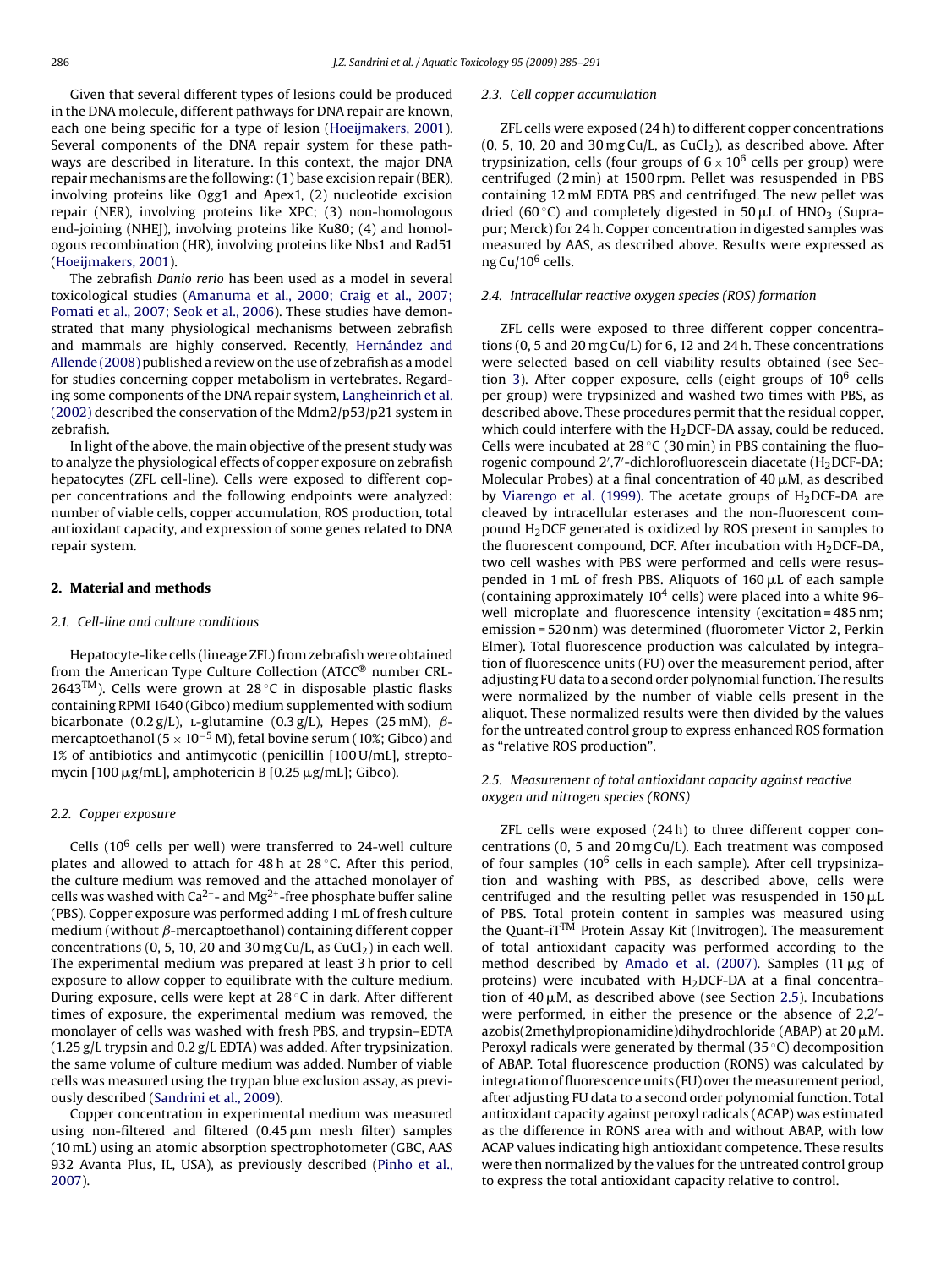Given that several different types of lesions could be produced in the DNA molecule, different pathways for DNA repair are known, each one being specific for a type of lesion [\(Hoeijmakers, 2001\).](#page-6-0) Several components of the DNA repair system for these pathways are described in literature. In this context, the major DNA repair mechanisms are the following: (1) base excision repair (BER), involving proteins like Ogg1 and Apex1, (2) nucleotide excision repair (NER), involving proteins like XPC; (3) non-homologous end-joining (NHEJ), involving proteins like Ku80; (4) and homologous recombination (HR), involving proteins like Nbs1 and Rad51 ([Hoeijmakers, 2001\).](#page-6-0)

The zebrafish *Danio rerio* has been used as a model in several toxicological studies ([Amanuma et al., 2000; Craig et al., 2007;](#page-5-0) [Pomati et al., 2007; Seok et al., 2006\).](#page-5-0) These studies have demonstrated that many physiological mechanisms between zebrafish and mammals are highly conserved. Recently, [Hernández and](#page-6-0) [Allende \(2008\)](#page-6-0) published a review on the use of zebrafish as a model for studies concerning copper metabolism in vertebrates. Regarding some components of the DNA repair system, [Langheinrich et al.](#page-6-0) [\(2002\)](#page-6-0) described the conservation of the Mdm2/p53/p21 system in zebrafish.

In light of the above, the main objective of the present study was to analyze the physiological effects of copper exposure on zebrafish hepatocytes (ZFL cell-line). Cells were exposed to different copper concentrations and the following endpoints were analyzed: number of viable cells, copper accumulation, ROS production, total antioxidant capacity, and expression of some genes related to DNA repair system.

# **2. Material and methods**

#### *2.1. Cell-line and culture conditions*

Hepatocyte-like cells (lineage ZFL) from zebrafish were obtained from the American Type Culture Collection (ATCC® number CRL-2643 $<sup>TM</sup>$ ). Cells were grown at 28 °C in disposable plastic flasks</sup> containing RPMI 1640 (Gibco) medium supplemented with sodium bicarbonate (0.2 g/L), L-glutamine (0.3 g/L), Hepes (25 mM),  $\beta$ mercaptoethanol ( $5 \times 10^{-5}$  M), fetal bovine serum (10%; Gibco) and 1% of antibiotics and antimycotic (penicillin [100 U/mL], streptomycin [100 μg/mL], amphotericin B [0.25 μg/mL]; Gibco).

#### *2.2. Copper exposure*

Cells ( $10^6$  cells per well) were transferred to 24-well culture plates and allowed to attach for 48 h at 28 °C. After this period, the culture medium was removed and the attached monolayer of cells was washed with  $Ca^{2+}$ - and Mg<sup>2+</sup>-free phosphate buffer saline (PBS). Copper exposure was performed adding 1 mL of fresh culture medium (without  $\beta$ -mercaptoethanol) containing different copper concentrations (0, 5, 10, 20 and 30 mg Cu/L, as CuCl<sub>2</sub>) in each well. The experimental medium was prepared at least 3 h prior to cell exposure to allow copper to equilibrate with the culture medium. During exposure, cells were kept at 28 ◦C in dark. After different times of exposure, the experimental medium was removed, the monolayer of cells was washed with fresh PBS, and trypsin–EDTA (1.25 g/L trypsin and 0.2 g/L EDTA) was added. After trypsinization, the same volume of culture medium was added. Number of viable cells was measured using the trypan blue exclusion assay, as previously described ([Sandrini et al., 2009\).](#page-6-0)

Copper concentration in experimental medium was measured using non-filtered and filtered (0.45  $\mu$ m mesh filter) samples (10 mL) using an atomic absorption spectrophotometer (GBC, AAS 932 Avanta Plus, IL, USA), as previously described [\(Pinho et al.,](#page-6-0) [2007\).](#page-6-0)

#### *2.3. Cell copper accumulation*

ZFL cells were exposed (24 h) to different copper concentrations (0, 5, 10, 20 and 30 mg Cu/L, as CuCl<sub>2</sub>), as described above. After trypsinization, cells (four groups of  $6 \times 10^6$  cells per group) were centrifuged (2 min) at 1500 rpm. Pellet was resuspended in PBS containing 12 mM EDTA PBS and centrifuged. The new pellet was dried (60 °C) and completely digested in 50  $\mu$ L of HNO<sub>3</sub> (Suprapur; Merck) for 24 h. Copper concentration in digested samples was measured by AAS, as described above. Results were expressed as ng Cu/10<sup>6</sup> cells.

# *2.4. Intracellular reactive oxygen species (ROS) formation*

ZFL cells were exposed to three different copper concentrations (0, 5 and 20 mg Cu/L) for 6, 12 and 24 h. These concentrations were selected based on cell viability results obtained (see Sec-tion [3\).](#page-2-0) After copper exposure, cells (eight groups of  $10^6$  cells per group) were trypsinized and washed two times with PBS, as described above. These procedures permit that the residual copper, which could interfere with the  $H_2$ DCF-DA assay, could be reduced. Cells were incubated at  $28 °C$  (30 min) in PBS containing the fluorogenic compound 2 ,7 -dichlorofluorescein diacetate (H2DCF-DA; Molecular Probes) at a final concentration of 40  $\mu$ M, as described by [Viarengo et al. \(1999\).](#page-6-0) The acetate groups of  $H<sub>2</sub> DCF-DA$  are cleaved by intracellular esterases and the non-fluorescent compound  $H<sub>2</sub>$ DCF generated is oxidized by ROS present in samples to the fluorescent compound, DCF. After incubation with  $H_2$ DCF-DA, two cell washes with PBS were performed and cells were resuspended in 1 mL of fresh PBS. Aliquots of  $160 \mu$ L of each sample (containing approximately  $10<sup>4</sup>$  cells) were placed into a white 96well microplate and fluorescence intensity (excitation=485nm; emission = 520 nm) was determined (fluorometer Victor 2, Perkin Elmer). Total fluorescence production was calculated by integration of fluorescence units (FU) over the measurement period, after adjusting FU data to a second order polynomial function. The results were normalized by the number of viable cells present in the aliquot. These normalized results were then divided by the values for the untreated control group to express enhanced ROS formation as "relative ROS production".

# *2.5. Measurement of total antioxidant capacity against reactive oxygen and nitrogen species (RONS)*

ZFL cells were exposed (24 h) to three different copper concentrations (0, 5 and 20 mg Cu/L). Each treatment was composed of four samples (10<sup>6</sup> cells in each sample). After cell trypsinization and washing with PBS, as described above, cells were centrifuged and the resulting pellet was resuspended in  $150 \mu L$ of PBS. Total protein content in samples was measured using the Quant-i $T^{TM}$  Protein Assay Kit (Invitrogen). The measurement of total antioxidant capacity was performed according to the method described by [Amado et al. \(2007\).](#page-5-0) Samples (11  $\mu$ g of proteins) were incubated with  $H_2$ DCF-DA at a final concentration of 40  $\mu$ M, as described above (see Section 2.5). Incubations were performed, in either the presence or the absence of 2,2 azobis(2methylpropionamidine)dihydrochloride (ABAP) at 20  $\mu$ M. Peroxyl radicals were generated by thermal  $(35\degree C)$  decomposition of ABAP. Total fluorescence production (RONS) was calculated by integration of fluorescence units (FU) over the measurement period, after adjusting FU data to a second order polynomial function. Total antioxidant capacity against peroxyl radicals (ACAP) was estimated as the difference in RONS area with and without ABAP, with low ACAP values indicating high antioxidant competence. These results were then normalized by the values for the untreated control group to express the total antioxidant capacity relative to control.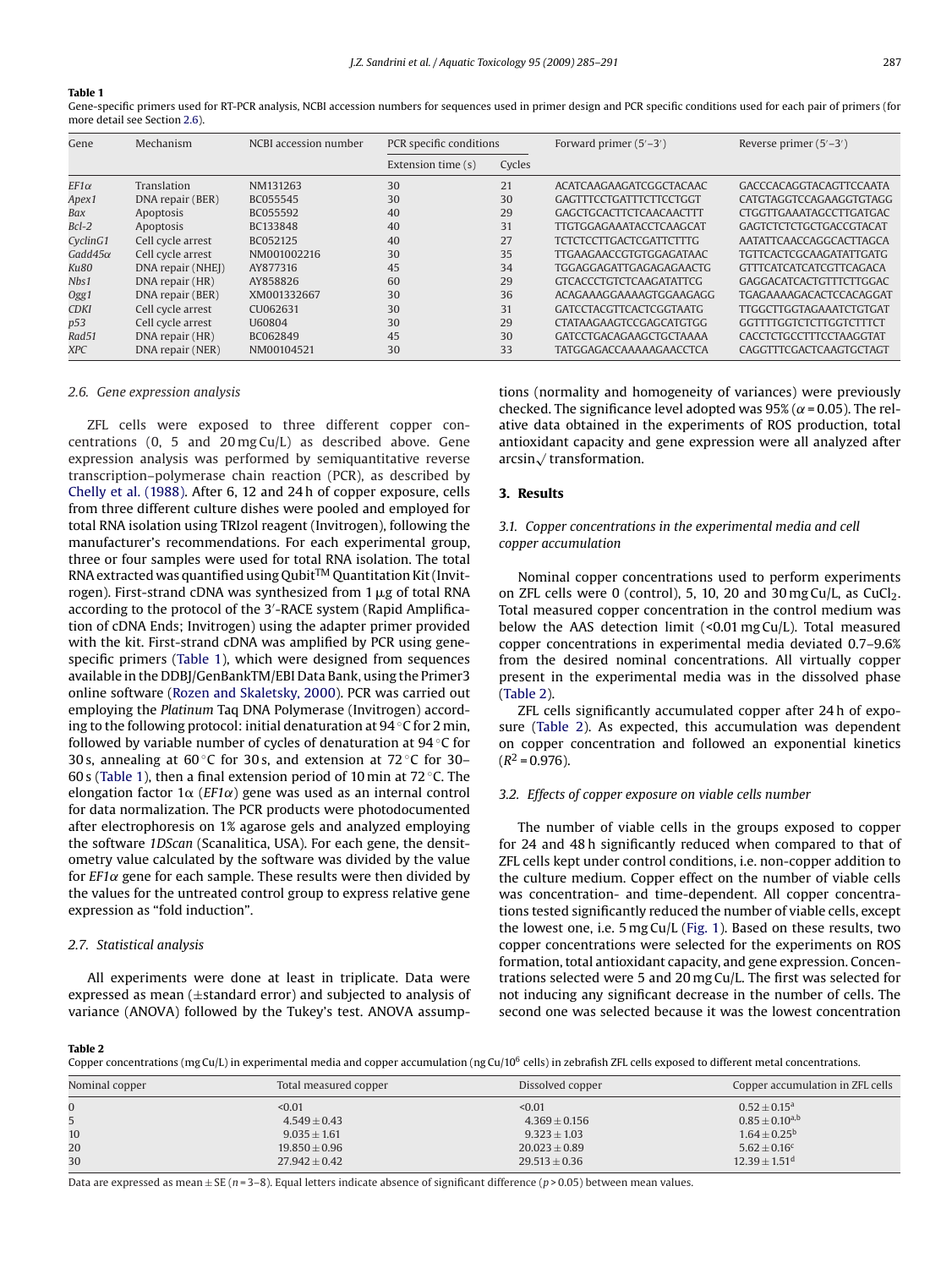#### <span id="page-2-0"></span>**Table 1**

Gene-specific primers used for RT-PCR analysis, NCBI accession numbers for sequences used in primer design and PCR specific conditions used for each pair of primers (for more detail see Section 2.6).

| Gene            | Mechanism         | NCBI accession number | PCR specific conditions |        | Forward primer $(5'-3')$       | Reverse primer $(5'-3')$       |
|-----------------|-------------------|-----------------------|-------------------------|--------|--------------------------------|--------------------------------|
|                 |                   |                       | Extension time (s)      | Cycles |                                |                                |
| $EF1\alpha$     | Translation       | NM131263              | 30                      | 21     | ACATCAAGAAGATCGGCTACAAC        | GACCCACAGGTACAGTTCCAATA        |
| Apex1           | DNA repair (BER)  | BC055545              | 30                      | 30     | <b>GAGTTTCCTGATTTCTTCCTGGT</b> | CATGTAGGTCCAGAAGGTGTAGG        |
| Bax             | Apoptosis         | BC055592              | 40                      | 29     | GAGCTGCACTTCTCAACAACTTT        | <b>CTGGTTGAAATAGCCTTGATGAC</b> |
| $Bcl-2$         | Apoptosis         | BC133848              | 40                      | 31     | <b>TTGTGGAGAAATACCTCAAGCAT</b> | GAGTCTCTCTGCTGACCGTACAT        |
| CyclinG1        | Cell cycle arrest | BC052125              | 40                      | 27     | <b>TCTCTCCTTGACTCGATTCTTTG</b> | AATATTCAACCAGGCACTTAGCA        |
| Gadd $45\alpha$ | Cell cycle arrest | NM001002216           | 30                      | 35     | <b>TTGAAGAACCGTGTGGAGATAAC</b> | <b>TGTTCACTCGCAAGATATTGATG</b> |
| Ku80            | DNA repair (NHEJ) | AY877316              | 45                      | 34     | <b>TGGAGGAGATTGAGAGAGAACTG</b> | <b>GTTTCATCATCATCGTTCAGACA</b> |
| Nbs1            | DNA repair (HR)   | AY858826              | 60                      | 29     | <b>GTCACCCTGTCTCAAGATATTCG</b> | <b>GAGGACATCACTGTTTCTTGGAC</b> |
| Ogg1            | DNA repair (BER)  | XM001332667           | 30                      | 36     | ACAGAAAGGAAAAGTGGAAGAGG        | TGAGAAAAGACACTCCACAGGAT        |
| CDKI            | Cell cycle arrest | CU062631              | 30                      | 31     | <b>GATCCTACGTTCACTCGGTAATG</b> | TTGGCTTGGTAGAAATCTGTGAT        |
| p53             | Cell cycle arrest | U60804                | 30                      | 29     | <b>CTATAAGAAGTCCGAGCATGTGG</b> | <b>GGTTTTGGTCTCTTGGTCTTTCT</b> |
| Rad51           | DNA repair (HR)   | BC062849              | 45                      | 30     | GATCCTGACAGAAGCTGCTAAAA        | CACCTCTGCCTTTCCTAAGGTAT        |
| XPC             | DNA repair (NER)  | NM00104521            | 30                      | 33     | <b>TATGGAGACCAAAAAGAACCTCA</b> | CAGGTTTCGACTCAAGTGCTAGT        |

## *2.6. Gene expression analysis*

ZFL cells were exposed to three different copper concentrations (0, 5 and 20 mg Cu/L) as described above. Gene expression analysis was performed by semiquantitative reverse transcription–polymerase chain reaction (PCR), as described by [Chelly et al. \(1988\).](#page-6-0) After 6, 12 and 24 h of copper exposure, cells from three different culture dishes were pooled and employed for total RNA isolation using TRIzol reagent (Invitrogen), following the manufacturer's recommendations. For each experimental group, three or four samples were used for total RNA isolation. The total  $\mathsf{RNA}\xspace$  extracted was quantified using  $\mathsf{Qubit^{TM}}\xspace$  Quantitation Kit (Invitrogen). First-strand cDNA was synthesized from 1  $\mu$ g of total RNA according to the protocol of the 3 -RACE system (Rapid Amplification of cDNA Ends; Invitrogen) using the adapter primer provided with the kit. First-strand cDNA was amplified by PCR using genespecific primers (Table 1), which were designed from sequences available in the DDBJ/GenBankTM/EBI Data Bank, using the Primer3 online software ([Rozen and Skaletsky, 2000\).](#page-6-0) PCR was carried out employing the *Platinum* Taq DNA Polymerase (Invitrogen) according to the following protocol: initial denaturation at  $94 °C$  for 2 min, followed by variable number of cycles of denaturation at 94 ◦C for 30 s, annealing at 60 ◦C for 30 s, and extension at 72 ◦C for 30– 60 s (Table 1), then a final extension period of 10 min at 72  $\degree$ C. The elongation factor  $1\alpha$  (*EF1* $\alpha$ ) gene was used as an internal control for data normalization. The PCR products were photodocumented after electrophoresis on 1% agarose gels and analyzed employing the software *1DScan* (Scanalitica, USA). For each gene, the densitometry value calculated by the software was divided by the value for  $EFA$  gene for each sample. These results were then divided by the values for the untreated control group to express relative gene expression as "fold induction".

#### *2.7. Statistical analysis*

All experiments were done at least in triplicate. Data were expressed as mean (±standard error) and subjected to analysis of variance (ANOVA) followed by the Tukey's test. ANOVA assumptions (normality and homogeneity of variances) were previously checked. The significance level adopted was 95% ( $\alpha$  = 0.05). The relative data obtained in the experiments of ROS production, total antioxidant capacity and gene expression were all analyzed after arcsin√ transformation.

# **3. Results**

# *3.1. Copper concentrations in the experimental media and cell copper accumulation*

Nominal copper concentrations used to perform experiments on ZFL cells were 0 (control), 5, 10, 20 and 30 mg Cu/L, as CuCl<sub>2</sub>. Total measured copper concentration in the control medium was below the AAS detection limit (<0.01 mg Cu/L). Total measured copper concentrations in experimental media deviated 0.7–9.6% from the desired nominal concentrations. All virtually copper present in the experimental media was in the dissolved phase (Table 2).

ZFL cells significantly accumulated copper after 24 h of exposure (Table 2). As expected, this accumulation was dependent on copper concentration and followed an exponential kinetics  $(R^2 = 0.976)$ .

# *3.2. Effects of copper exposure on viable cells number*

The number of viable cells in the groups exposed to copper for 24 and 48 h significantly reduced when compared to that of ZFL cells kept under control conditions, i.e. non-copper addition to the culture medium. Copper effect on the number of viable cells was concentration- and time-dependent. All copper concentrations tested significantly reduced the number of viable cells, except the lowest one, i.e. 5 mg Cu/L ([Fig. 1\).](#page-3-0) Based on these results, two copper concentrations were selected for the experiments on ROS formation, total antioxidant capacity, and gene expression. Concentrations selected were 5 and 20 mg Cu/L. The first was selected for not inducing any significant decrease in the number of cells. The second one was selected because it was the lowest concentration

#### **Table 2**

Copper concentrations (mg Cu/L) in experimental media and copper accumulation (ng Cu/10<sup>6</sup> cells) in zebrafish ZFL cells exposed to different metal concentrations.

| Nominal copper | Total measured copper | Dissolved copper  | Copper accumulation in ZFL cells |
|----------------|-----------------------|-------------------|----------------------------------|
| $\mathbf{0}$   | < 0.01                | < 0.01            | $0.52 \pm 0.15^a$                |
|                | $4.549 \pm 0.43$      | $4.369 \pm 0.156$ | $0.85 \pm 0.10^{a,b}$            |
| 10             | $9.035 \pm 1.61$      | $9.323 \pm 1.03$  | $1.64 \pm 0.25^{\rm b}$          |
| 20             | $19.850 \pm 0.96$     | $20.023 \pm 0.89$ | $5.62 \pm 0.16$ <sup>c</sup>     |
| 30             | $27.942 \pm 0.42$     | $29.513 \pm 0.36$ | $12.39 \pm 1.51$ <sup>d</sup>    |

Data are expressed as mean  $\pm$  SE ( $n$  = 3–8). Equal letters indicate absence of significant difference ( $p$  > 0.05) between mean values.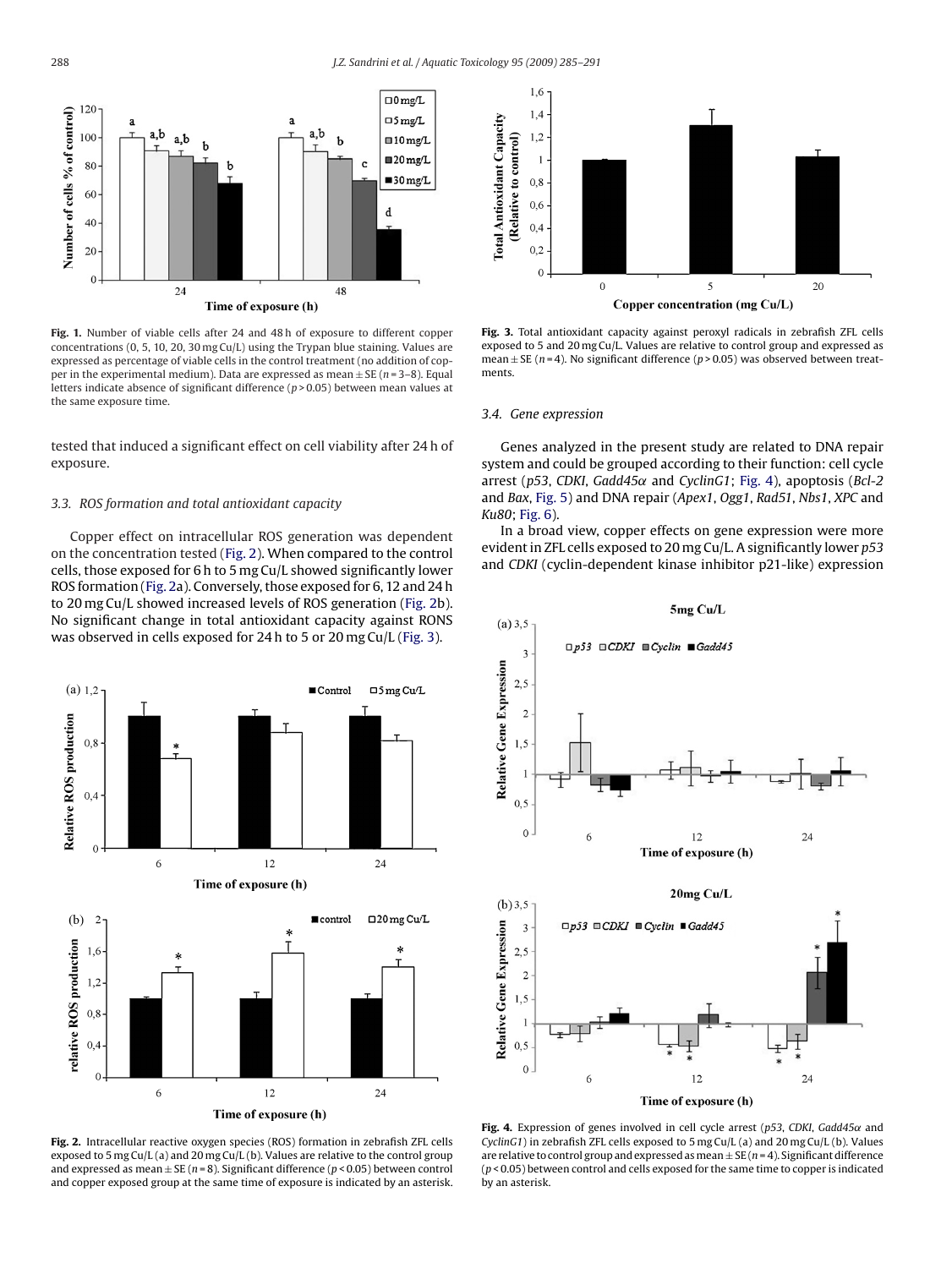<span id="page-3-0"></span>

**Fig. 1.** Number of viable cells after 24 and 48 h of exposure to different copper concentrations (0, 5, 10, 20, 30 mg Cu/L) using the Trypan blue staining. Values are expressed as percentage of viable cells in the control treatment (no addition of copper in the experimental medium). Data are expressed as mean ± SE (*n* = 3–8). Equal letters indicate absence of significant difference (*p* > 0.05) between mean values at the same exposure time.

tested that induced a significant effect on cell viability after 24 h of exposure.

# *3.3. ROS formation and total antioxidant capacity*

Copper effect on intracellular ROS generation was dependent on the concentration tested (Fig. 2). When compared to the control cells, those exposed for 6 h to 5 mg Cu/L showed significantly lower ROS formation (Fig. 2a). Conversely, those exposed for 6, 12 and 24 h to 20 mg Cu/L showed increased levels of ROS generation (Fig. 2b). No significant change in total antioxidant capacity against RONS was observed in cells exposed for 24 h to 5 or 20 mg Cu/L (Fig. 3).



**Fig. 2.** Intracellular reactive oxygen species (ROS) formation in zebrafish ZFL cells exposed to 5 mg Cu/L (a) and 20 mg Cu/L (b). Values are relative to the control group and expressed as mean ± SE (*n* = 8). Significant difference (*p* < 0.05) between control and copper exposed group at the same time of exposure is indicated by an asterisk.



**Fig. 3.** Total antioxidant capacity against peroxyl radicals in zebrafish ZFL cells exposed to 5 and 20 mg Cu/L. Values are relative to control group and expressed as mean  $\pm$  SE (*n* = 4). No significant difference (*p* > 0.05) was observed between treatments.

#### *3.4. Gene expression*

Genes analyzed in the present study are related to DNA repair system and could be grouped according to their function: cell cycle arrest (*p53*, *CDKI*, *Gadd45*˛ and *CyclinG1*; Fig. 4), apoptosis (*Bcl-2* and *Bax*, [Fig. 5\)](#page-4-0) and DNA repair (*Apex1*, *Ogg1*, *Rad51*, *Nbs1*, *XPC* and *Ku80*; [Fig. 6\).](#page-4-0)

In a broad view, copper effects on gene expression were more evident in ZFL cells exposed to 20 mg Cu/L. A significantly lower *p53* and *CDKI* (cyclin-dependent kinase inhibitor p21-like) expression



**Fig. 4.** Expression of genes involved in cell cycle arrest (*p53*, *CDKI*, *Gadd45*˛ and *CyclinG1*) in zebrafish ZFL cells exposed to 5 mg Cu/L (a) and 20 mg Cu/L (b). Values are relative to control group and expressed as mean  $\pm$  SE ( $n = 4$ ). Significant difference (*p* < 0.05) between control and cells exposed for the same time to copper is indicated by an asterisk.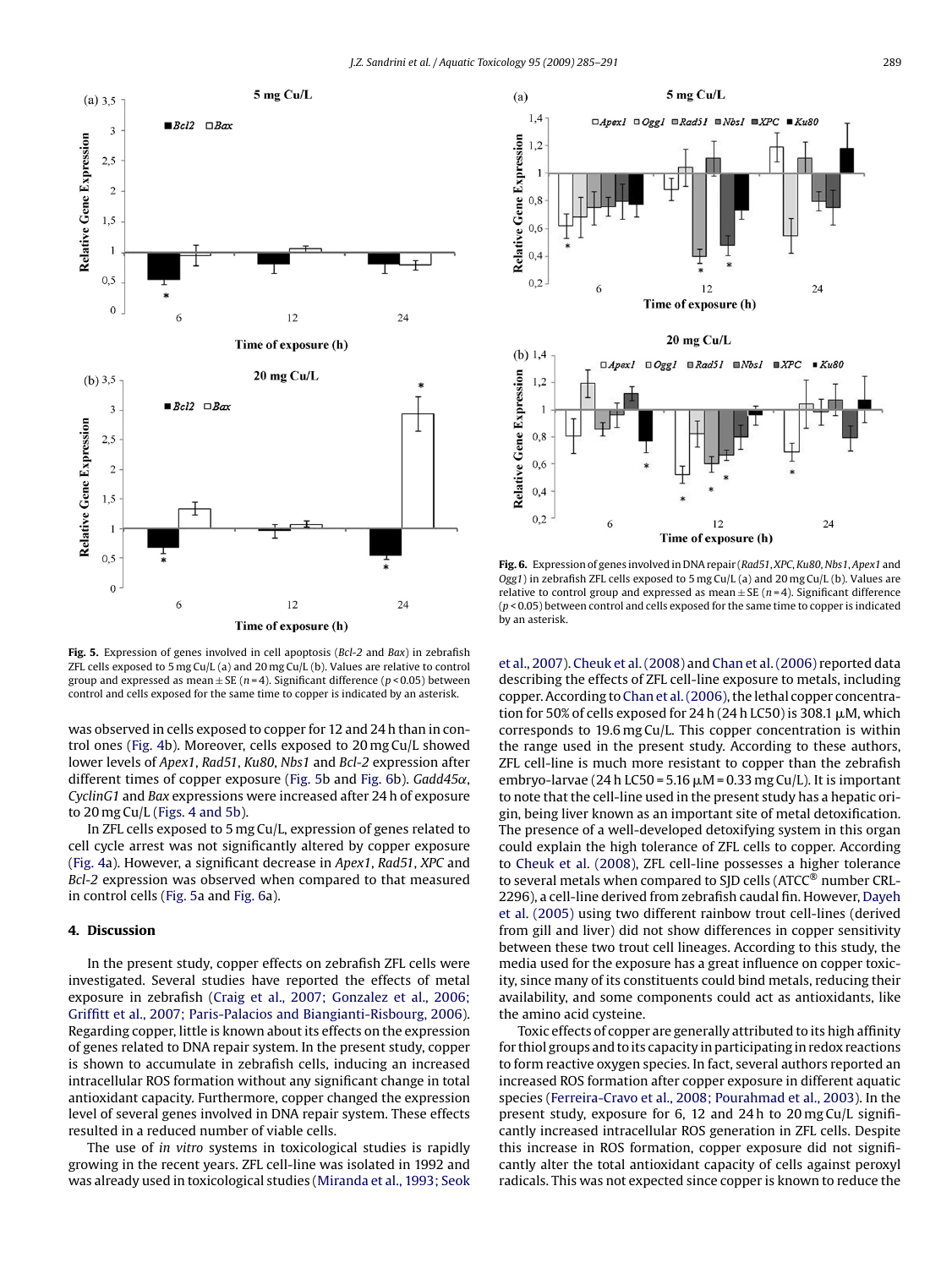<span id="page-4-0"></span>

**Fig. 5.** Expression of genes involved in cell apoptosis (*Bcl-2* and *Bax*) in zebrafish ZFL cells exposed to 5 mg Cu/L (a) and 20 mg Cu/L (b). Values are relative to control group and expressed as mean ± SE (*n* = 4). Significant difference (*p* < 0.05) between control and cells exposed for the same time to copper is indicated by an asterisk.

was observed in cells exposed to copper for 12 and 24 h than in control ones [\(Fig. 4b](#page-3-0)). Moreover, cells exposed to 20 mg Cu/L showed lower levels of *Apex1*, *Rad51*, *Ku80*, *Nbs1* and *Bcl-2* expression after different times of copper exposure (Fig. 5b and Fig. 6b). *Gadd45α*, *CyclinG1* and *Bax* expressions were increased after 24 h of exposure to 20 mg Cu/L [\(Figs. 4 and 5b\).](#page-3-0)

In ZFL cells exposed to 5 mg Cu/L, expression of genes related to cell cycle arrest was not significantly altered by copper exposure ([Fig. 4a\)](#page-3-0). However, a significant decrease in *Apex1*, *Rad51*, *XPC* and *Bcl-2* expression was observed when compared to that measured in control cells (Fig. 5a and Fig. 6a).

# **4. Discussion**

In the present study, copper effects on zebrafish ZFL cells were investigated. Several studies have reported the effects of metal exposure in zebrafish ([Craig et al., 2007; Gonzalez et al., 2006;](#page-6-0) [Griffitt et al., 2007; Paris-Palacios and Biangianti-Risbourg, 2006\).](#page-6-0) Regarding copper, little is known about its effects on the expression of genes related to DNA repair system. In the present study, copper is shown to accumulate in zebrafish cells, inducing an increased intracellular ROS formation without any significant change in total antioxidant capacity. Furthermore, copper changed the expression level of several genes involved in DNA repair system. These effects resulted in a reduced number of viable cells.

The use of *in vitro* systems in toxicological studies is rapidly growing in the recent years. ZFL cell-line was isolated in 1992 and was already used in toxicological studies ([Miranda et al., 1993; Seok](#page-6-0)



**Fig. 6.** Expression of genes involved in DNA repair (*Rad51*, *XPC*, *Ku80*, *Nbs1*, *Apex1* and *Ogg1*) in zebrafish ZFL cells exposed to 5 mg Cu/L (a) and 20 mg Cu/L (b). Values are relative to control group and expressed as mean  $\pm$  SE ( $n = 4$ ). Significant difference (*p* < 0.05) between control and cells exposed for the same time to copper is indicated by an asterisk.

[et al., 2007\).](#page-6-0) [Cheuk et al. \(2008\)](#page-6-0) and [Chan et al. \(2006\)](#page-6-0) reported data describing the effects of ZFL cell-line exposure to metals, including copper. According to [Chan et al. \(2006\), t](#page-6-0)he lethal copper concentration for 50% of cells exposed for 24 h (24 h LC50) is 308.1  $\mu$ M, which corresponds to 19.6 mg Cu/L. This copper concentration is within the range used in the present study. According to these authors, ZFL cell-line is much more resistant to copper than the zebrafish embryo-larvae (24 h LC50 = 5.16  $\mu$ M = 0.33 mg Cu/L). It is important to note that the cell-line used in the present study has a hepatic origin, being liver known as an important site of metal detoxification. The presence of a well-developed detoxifying system in this organ could explain the high tolerance of ZFL cells to copper. According to [Cheuk et al. \(2008\), Z](#page-6-0)FL cell-line possesses a higher tolerance to several metals when compared to SJD cells (ATCC® number CRL-2296), a cell-line derived from zebrafish caudal fin. However, [Dayeh](#page-6-0) [et al. \(2005\)](#page-6-0) using two different rainbow trout cell-lines (derived from gill and liver) did not show differences in copper sensitivity between these two trout cell lineages. According to this study, the media used for the exposure has a great influence on copper toxicity, since many of its constituents could bind metals, reducing their availability, and some components could act as antioxidants, like the amino acid cysteine.

Toxic effects of copper are generally attributed to its high affinity for thiol groups and to its capacity in participating in redox reactions to form reactive oxygen species. In fact, several authors reported an increased ROS formation after copper exposure in different aquatic species ([Ferreira-Cravo et al., 2008; Pourahmad et al., 2003\).](#page-6-0) In the present study, exposure for 6, 12 and 24 h to 20 mg Cu/L significantly increased intracellular ROS generation in ZFL cells. Despite this increase in ROS formation, copper exposure did not significantly alter the total antioxidant capacity of cells against peroxyl radicals. This was not expected since copper is known to reduce the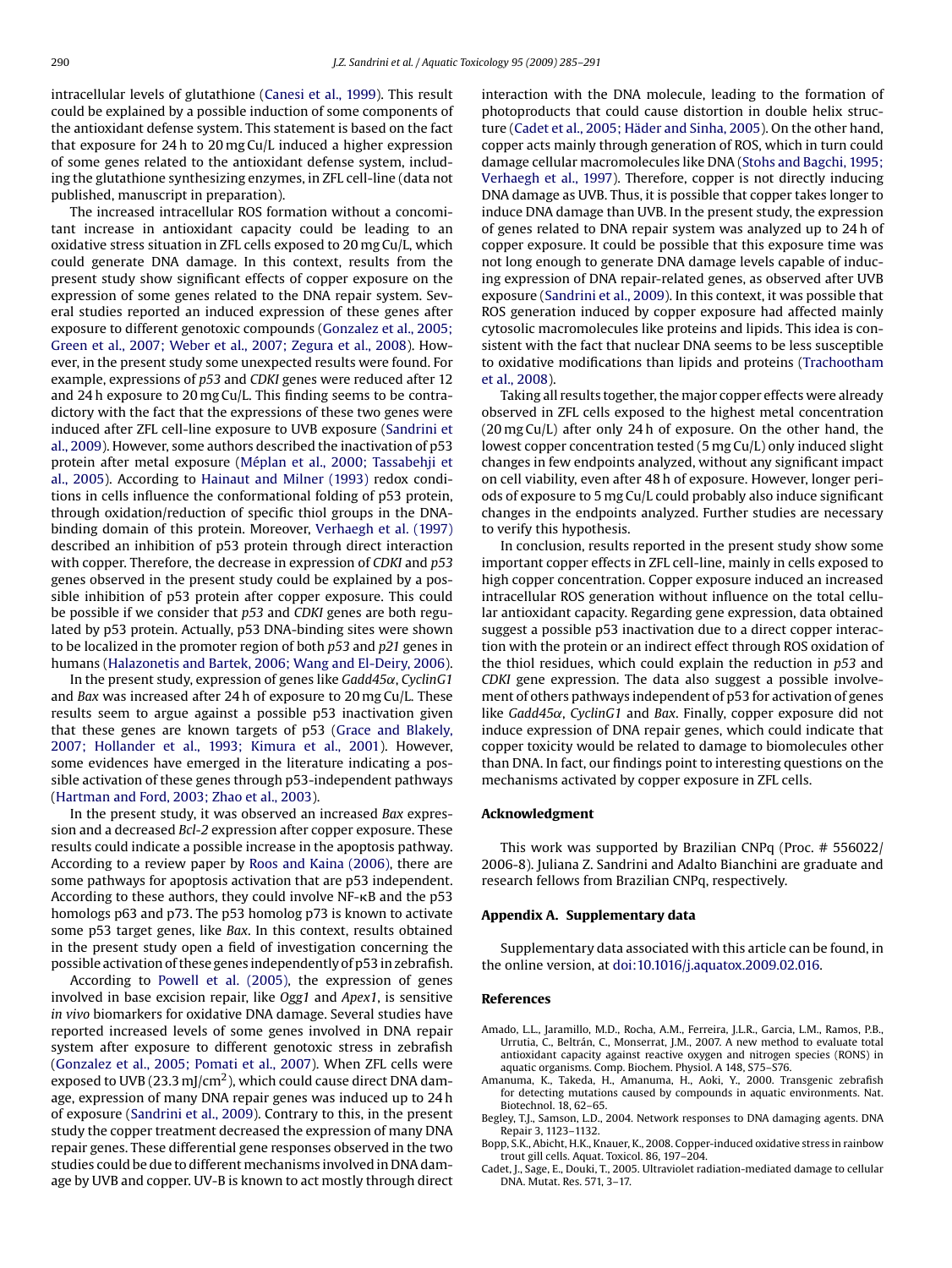<span id="page-5-0"></span>intracellular levels of glutathione ([Canesi et al., 1999\).](#page-6-0) This result could be explained by a possible induction of some components of the antioxidant defense system. This statement is based on the fact that exposure for 24 h to 20 mg Cu/L induced a higher expression of some genes related to the antioxidant defense system, including the glutathione synthesizing enzymes, in ZFL cell-line (data not published, manuscript in preparation).

The increased intracellular ROS formation without a concomitant increase in antioxidant capacity could be leading to an oxidative stress situation in ZFL cells exposed to 20 mg Cu/L, which could generate DNA damage. In this context, results from the present study show significant effects of copper exposure on the expression of some genes related to the DNA repair system. Several studies reported an induced expression of these genes after exposure to different genotoxic compounds [\(Gonzalez et al., 2005;](#page-6-0) [Green et al., 2007; Weber et al., 2007; Zegura et al., 2008\).](#page-6-0) However, in the present study some unexpected results were found. For example, expressions of *p53* and *CDKI* genes were reduced after 12 and 24 h exposure to 20 mg Cu/L. This finding seems to be contradictory with the fact that the expressions of these two genes were induced after ZFL cell-line exposure to UVB exposure ([Sandrini et](#page-6-0) [al., 2009\).](#page-6-0) However, some authors described the inactivation of p53 protein after metal exposure [\(Méplan et al., 2000; Tassabehji et](#page-6-0) [al., 2005\).](#page-6-0) According to [Hainaut and Milner \(1993\)](#page-6-0) redox conditions in cells influence the conformational folding of p53 protein, through oxidation/reduction of specific thiol groups in the DNAbinding domain of this protein. Moreover, [Verhaegh et al. \(1997\)](#page-6-0) described an inhibition of p53 protein through direct interaction with copper. Therefore, the decrease in expression of *CDKI* and *p53* genes observed in the present study could be explained by a possible inhibition of p53 protein after copper exposure. This could be possible if we consider that *p53* and *CDKI* genes are both regulated by p53 protein. Actually, p53 DNA-binding sites were shown to be localized in the promoter region of both *p53* and *p21* genes in humans ([Halazonetis and Bartek, 2006; Wang and El-Deiry, 2006\).](#page-6-0)

In the present study, expression of genes like *Gadd45*˛, *CyclinG1* and *Bax* was increased after 24 h of exposure to 20 mg Cu/L. These results seem to argue against a possible p53 inactivation given that these genes are known targets of p53 ([Grace and Blakely,](#page-6-0) [2007; Hollander et al., 1993; Kimura et al., 2001\).](#page-6-0) However, some evidences have emerged in the literature indicating a possible activation of these genes through p53-independent pathways ([Hartman and Ford, 2003; Zhao et al., 2003\).](#page-6-0)

In the present study, it was observed an increased *Bax* expression and a decreased *Bcl-2* expression after copper exposure. These results could indicate a possible increase in the apoptosis pathway. According to a review paper by [Roos and Kaina \(2006\), t](#page-6-0)here are some pathways for apoptosis activation that are p53 independent. According to these authors, they could involve  $NF-\kappa B$  and the p53 homologs p63 and p73. The p53 homolog p73 is known to activate some p53 target genes, like *Bax*. In this context, results obtained in the present study open a field of investigation concerning the possible activation of these genes independently of p53 in zebrafish.

According to [Powell et al. \(2005\),](#page-6-0) the expression of genes involved in base excision repair, like *Ogg1* and *Apex1*, is sensitive *in vivo* biomarkers for oxidative DNA damage. Several studies have reported increased levels of some genes involved in DNA repair system after exposure to different genotoxic stress in zebrafish ([Gonzalez et al., 2005; Pomati et al., 2007\).](#page-6-0) When ZFL cells were exposed to UVB (23.3 mJ/cm<sup>2</sup>), which could cause direct DNA damage, expression of many DNA repair genes was induced up to 24 h of exposure ([Sandrini et al., 2009\).](#page-6-0) Contrary to this, in the present study the copper treatment decreased the expression of many DNA repair genes. These differential gene responses observed in the two studies could be due to different mechanisms involved in DNA damage by UVB and copper. UV-B is known to act mostly through direct interaction with the DNA molecule, leading to the formation of photoproducts that could cause distortion in double helix structure (Cadet et al., 2005; Häder and Sinha, 2005). On the other hand, copper acts mainly through generation of ROS, which in turn could damage cellular macromolecules like DNA ([Stohs and Bagchi, 1995;](#page-6-0) [Verhaegh et al., 1997\).](#page-6-0) Therefore, copper is not directly inducing DNA damage as UVB. Thus, it is possible that copper takes longer to induce DNA damage than UVB. In the present study, the expression of genes related to DNA repair system was analyzed up to 24 h of copper exposure. It could be possible that this exposure time was not long enough to generate DNA damage levels capable of inducing expression of DNA repair-related genes, as observed after UVB exposure [\(Sandrini et al., 2009\).](#page-6-0) In this context, it was possible that ROS generation induced by copper exposure had affected mainly cytosolic macromolecules like proteins and lipids. This idea is consistent with the fact that nuclear DNA seems to be less susceptible to oxidative modifications than lipids and proteins ([Trachootham](#page-6-0) [et al., 2008\).](#page-6-0)

Taking all results together, the major copper effects were already observed in ZFL cells exposed to the highest metal concentration (20 mg Cu/L) after only 24 h of exposure. On the other hand, the lowest copper concentration tested (5 mg Cu/L) only induced slight changes in few endpoints analyzed, without any significant impact on cell viability, even after 48 h of exposure. However, longer periods of exposure to 5 mg Cu/L could probably also induce significant changes in the endpoints analyzed. Further studies are necessary to verify this hypothesis.

In conclusion, results reported in the present study show some important copper effects in ZFL cell-line, mainly in cells exposed to high copper concentration. Copper exposure induced an increased intracellular ROS generation without influence on the total cellular antioxidant capacity. Regarding gene expression, data obtained suggest a possible p53 inactivation due to a direct copper interaction with the protein or an indirect effect through ROS oxidation of the thiol residues, which could explain the reduction in *p53* and *CDKI* gene expression. The data also suggest a possible involvement of others pathways independent of p53 for activation of genes like *Gadd45*˛, *CyclinG1* and *Bax*. Finally, copper exposure did not induce expression of DNA repair genes, which could indicate that copper toxicity would be related to damage to biomolecules other than DNA. In fact, our findings point to interesting questions on the mechanisms activated by copper exposure in ZFL cells.

## **Acknowledgment**

This work was supported by Brazilian CNPq (Proc. # 556022/ 2006-8). Juliana Z. Sandrini and Adalto Bianchini are graduate and research fellows from Brazilian CNPq, respectively.

#### **Appendix A. Supplementary data**

Supplementary data associated with this article can be found, in the online version, at [doi:10.1016/j.aquatox.2009.02.016.](http://dx.doi.org/10.1016/j.aquatox.2009.02.016)

#### **References**

- Amado, L.L., Jaramillo, M.D., Rocha, A.M., Ferreira, J.L.R., Garcia, L.M., Ramos, P.B., Urrutia, C., Beltrán, C., Monserrat, J.M., 2007. A new method to evaluate total antioxidant capacity against reactive oxygen and nitrogen species (RONS) in aquatic organisms. Comp. Biochem. Physiol. A 148, S75–S76.
- Amanuma, K., Takeda, H., Amanuma, H., Aoki, Y., 2000. Transgenic zebrafish for detecting mutations caused by compounds in aquatic environments. Nat. Biotechnol. 18, 62–65.
- Begley, T.J., Samson, L.D., 2004. Network responses to DNA damaging agents. DNA Repair 3, 1123–1132.
- Bopp, S.K., Abicht, H.K., Knauer, K., 2008. Copper-induced oxidative stress in rainbow trout gill cells. Aquat. Toxicol. 86, 197–204.
- Cadet, J., Sage, E., Douki, T., 2005. Ultraviolet radiation-mediated damage to cellular DNA. Mutat. Res. 571, 3–17.